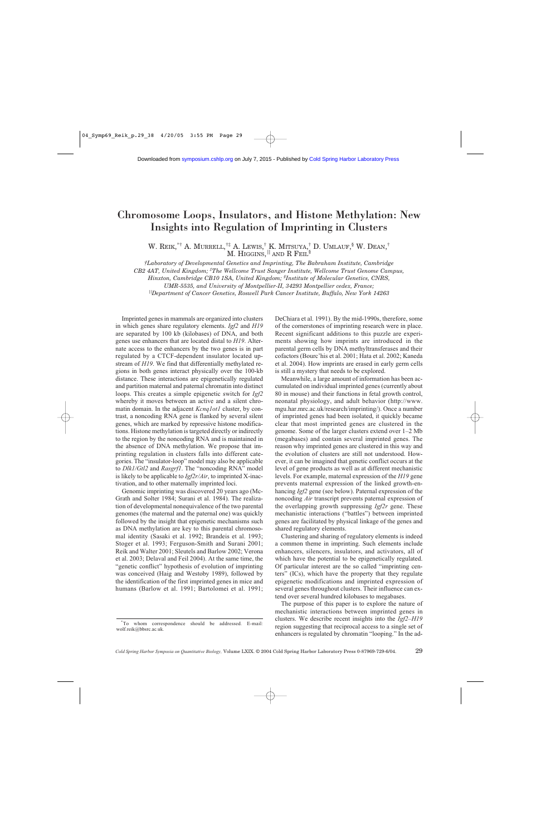# Chromosome Loops, Insulators, and Histone Methylation: New Insights into Regulation of Imprinting in Clusters

W. REIK,\*† A. MURRELL,<sup>†‡</sup> A. Lewis,† K. Mitsuya,† D. Umlauf,<sup>§</sup> W. Dean,† M. HIGGINS, <sup>||</sup> AND R FEIL<sup>§</sup>

*†Laboratory of Developmental Genetics and Imprinting, The Babraham Institute, Cambridge*

*CB2 4AT, United Kingdom; ‡ The Wellcome Trust Sanger Institute, Wellcome Trust Genome Campus,*

*Hinxton, Cambridge CB10 1SA, United Kingdom; § Institute of Molecular Genetics, CNRS,* 

*|| Department of Cancer Genetics, Roswell Park Cancer Institute, Buffalo, New York 14263*

Imprinted genes in mammals are organized into clusters in which genes share regulatory elements. *Igf2* and *H19* are separated by 100 kb (kilobases) of DNA, and both genes use enhancers that are located distal to *H19*. Alternate access to the enhancers by the two genes is in part regulated by a CTCF-dependent insulator located upstream of *H19*. We find that differentially methylated regions in both genes interact physically over the 100-kb distance. These interactions are epigenetically regulated and partition maternal and paternal chromatin into distinct loops. This creates a simple epigenetic switch for *Igf2* whereby it moves between an active and a silent chromatin domain. In the adjacent *Kcnq1ot1* cluster, by contrast, a noncoding RNA gene is flanked by several silent genes, which are marked by repressive histone modifications. Histone methylation is targeted directly or indirectly to the region by the noncoding RNA and is maintained in the absence of DNA methylation. We propose that imprinting regulation in clusters falls into different categories. The "insulator-loop" model may also be applicable to *Dlk1/Gtl2* and *Rasgrf1*. The "noncoding RNA" model is likely to be applicable to *Igf2r/Air*, to imprinted X-inactivation, and to other maternally imprinted loci.

Genomic imprinting was discovered 20 years ago (Mc-Grath and Solter 1984; Surani et al. 1984). The realization of developmental nonequivalence of the two parental genomes (the maternal and the paternal one) was quickly followed by the insight that epigenetic mechanisms such as DNA methylation are key to this parental chromosomal identity (Sasaki et al. 1992; Brandeis et al. 1993; Stoger et al. 1993; Ferguson-Smith and Surani 2001; Reik and Walter 2001; Sleutels and Barlow 2002; Verona et al. 2003; Delaval and Feil 2004). At the same time, the "genetic conflict" hypothesis of evolution of imprinting was conceived (Haig and Westoby 1989), followed by the identification of the first imprinted genes in mice and humans (Barlow et al. 1991; Bartolomei et al. 1991; DeChiara et al. 1991). By the mid-1990s, therefore, some of the cornerstones of imprinting research were in place. Recent significant additions to this puzzle are experiments showing how imprints are introduced in the parental germ cells by DNA methyltransferases and their cofactors (Bourc'his et al. 2001; Hata et al. 2002; Kaneda et al. 2004). How imprints are erased in early germ cells is still a mystery that needs to be explored.

Meanwhile, a large amount of information has been accumulated on individual imprinted genes (currently about 80 in mouse) and their functions in fetal growth control, neonatal physiology, and adult behavior (http://www. mgu.har.mrc.ac.uk/research/imprinting/). Once a number of imprinted genes had been isolated, it quickly became clear that most imprinted genes are clustered in the genome. Some of the larger clusters extend over 1–2 Mb (megabases) and contain several imprinted genes. The reason why imprinted genes are clustered in this way and the evolution of clusters are still not understood. However, it can be imagined that genetic conflict occurs at the level of gene products as well as at different mechanistic levels. For example, maternal expression of the *H19* gene prevents maternal expression of the linked growth-enhancing *Igf2* gene (see below). Paternal expression of the noncoding *Air* transcript prevents paternal expression of the overlapping growth suppressing *Igf2r* gene. These mechanistic interactions ("battles") between imprinted genes are facilitated by physical linkage of the genes and shared regulatory elements.

Clustering and sharing of regulatory elements is indeed a common theme in imprinting. Such elements include enhancers, silencers, insulators, and activators, all of which have the potential to be epigenetically regulated. Of particular interest are the so called "imprinting centers" (ICs), which have the property that they regulate epigenetic modifications and imprinted expression of several genes throughout clusters. Their influence can extend over several hundred kilobases to megabases.

The purpose of this paper is to explore the nature of mechanistic interactions between imprinted genes in clusters. We describe recent insights into the *Igf2–H19* region suggesting that reciprocal access to a single set of enhancers is regulated by chromatin "looping." In the ad-

*UMR-5535, and University of Montpellier-II, 34293 Montpellier cedex, France;*

<sup>\*</sup> To whom correspondence should be addressed. E-mail: wolf.reik@bbsrc.ac.uk.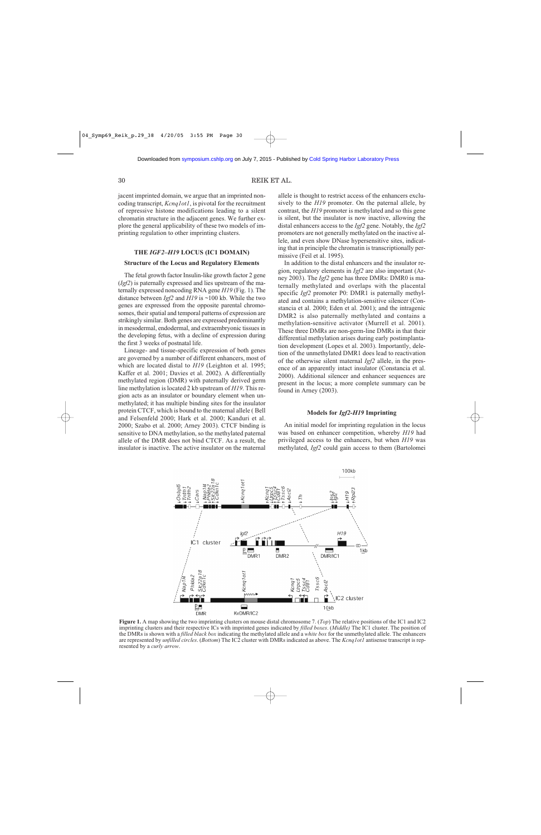# 30 REIK ET AL.

jacent imprinted domain, we argue that an imprinted noncoding transcript, *Kcnq1ot1*, is pivotal for the recruitment of repressive histone modifications leading to a silent chromatin structure in the adjacent genes. We further explore the general applicability of these two models of imprinting regulation to other imprinting clusters.

# **THE** *IGF2–H19* **LOCUS (IC1 DOMAIN)**

# **Structure of the Locus and Regulatory Elements**

The fetal growth factor Insulin-like growth factor 2 gene (*Igf2*) is paternally expressed and lies upstream of the maternally expressed noncoding RNA gene *H19* (Fig. 1). The distance between *Igf2* and *H19* is ~100 kb. While the two genes are expressed from the opposite parental chromosomes, their spatial and temporal patterns of expression are strikingly similar. Both genes are expressed predominantly in mesodermal, endodermal, and extraembryonic tissues in the developing fetus, with a decline of expression during the first 3 weeks of postnatal life.

Lineage- and tissue-specific expression of both genes are governed by a number of different enhancers, most of which are located distal to *H19* (Leighton et al. 1995; Kaffer et al. 2001; Davies et al. 2002). A differentially methylated region (DMR) with paternally derived germ line methylation is located 2 kb upstream of *H19*. This region acts as an insulator or boundary element when unmethylated; it has multiple binding sites for the insulator protein CTCF, which is bound to the maternal allele ( Bell and Felsenfeld 2000; Hark et al. 2000; Kanduri et al. 2000; Szabo et al. 2000; Arney 2003). CTCF binding is sensitive to DNA methylation, so the methylated paternal allele of the DMR does not bind CTCF. As a result, the insulator is inactive. The active insulator on the maternal

allele is thought to restrict access of the enhancers exclusively to the *H19* promoter. On the paternal allele, by contrast, the *H19* promoter is methylated and so this gene is silent, but the insulator is now inactive, allowing the distal enhancers access to the *Igf2* gene. Notably, the *Igf2* promoters are not generally methylated on the inactive allele, and even show DNase hypersensitive sites, indicating that in principle the chromatin is transcriptionally permissive (Feil et al. 1995).

In addition to the distal enhancers and the insulator region, regulatory elements in *Igf2* are also important (Arney 2003). The *Igf2* gene has three DMRs: DMR0 is maternally methylated and overlaps with the placental specific *Igf2* promoter P0: DMR1 is paternally methylated and contains a methylation-sensitive silencer (Constancia et al. 2000; Eden et al. 2001); and the intragenic DMR2 is also paternally methylated and contains a methylation-sensitive activator (Murrell et al. 2001). These three DMRs are non-germ-line DMRs in that their differential methylation arises during early postimplantation development (Lopes et al. 2003). Importantly, deletion of the unmethylated DMR1 does lead to reactivation of the otherwise silent maternal *Igf2* allele, in the presence of an apparently intact insulator (Constancia et al. 2000). Additional silencer and enhancer sequences are present in the locus; a more complete summary can be found in Arney (2003).

# **Models for** *Igf2-H19* **Imprinting**

An initial model for imprinting regulation in the locus was based on enhancer competition, whereby *H19* had privileged access to the enhancers, but when *H19* was methylated, *Igf2* could gain access to them (Bartolomei



**Figure 1.** A map showing the two imprinting clusters on mouse distal chromosome 7. (*Top*) The relative positions of the IC1 and IC2 imprinting clusters and their respective ICs with imprinted genes indicated by *filled boxes*. (*Middle)* The IC1 cluster. The position of the DMRs is shown with a *filled black box* indicating the methylated allele and a *white box* for the unmethylated allele. The enhancers are represented by *unfilled circles*. (*Bottom*) The IC2 cluster with DMRs indicated as above. The *Kcnq1ot1* antisense transcript is represented by a *curly arrow*.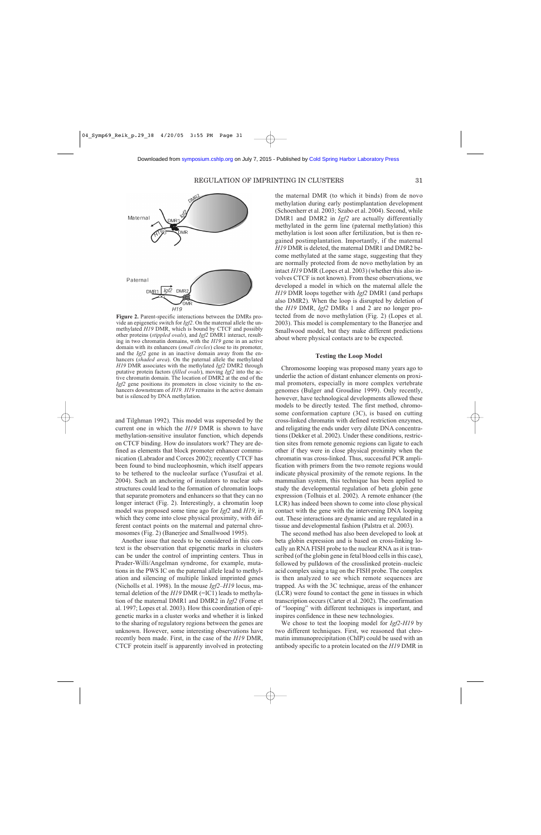REGULATION OF IMPRINTING IN CLUSTERS  $31$ 



**Figure 2.** Parent-specific interactions between the DMRs provide an epigenetic switch for *Igf2*. On the maternal allele the unmethylated *H19* DMR, which is bound by CTCF and possibly other proteins (*stippled ovals*), and *Igf2* DMR1 interact, resulting in two chromatin domains, with the *H19* gene in an active domain with its enhancers (*small circles*) close to its promoter, and the *Igf2* gene in an inactive domain away from the enhancers (*shaded area*). On the paternal allele the methylated *H19* DMR associates with the methylated *Igf2* DMR2 through putative protein factors (*filled ovals*), moving *Igf2* into the active chromatin domain. The location of DMR2 at the end of the *Igf2* gene positions its promoters in close vicinity to the enhancers downstream of  $H19$ .  $H19$  remains in the active domain but is silenced by DNA methylation.

and Tilghman 1992). This model was superseded by the current one in which the *H19* DMR is shown to have methylation-sensitive insulator function, which depends on CTCF binding. How do insulators work? They are defined as elements that block promoter enhancer communication (Labrador and Corces 2002); recently CTCF has been found to bind nucleophosmin, which itself appears to be tethered to the nucleolar surface (Yusufzai et al. 2004). Such an anchoring of insulators to nuclear substructures could lead to the formation of chromatin loops that separate promoters and enhancers so that they can no longer interact (Fig. 2). Interestingly, a chromatin loop model was proposed some time ago for *Igf2* and *H19*, in which they come into close physical proximity, with different contact points on the maternal and paternal chromosomes (Fig. 2) (Banerjee and Smallwood 1995).

Another issue that needs to be considered in this context is the observation that epigenetic marks in clusters can be under the control of imprinting centers. Thus in Prader-Willi/Angelman syndrome, for example, mutations in the PWS IC on the paternal allele lead to methylation and silencing of multiple linked imprinted genes (Nicholls et al. 1998). In the mouse *Igf2–H19* locus, maternal deletion of the *H19* DMR (=IC1) leads to methylation of the maternal DMR1 and DMR2 in *Igf2* (Forne et al. 1997; Lopes et al. 2003). How this coordination of epigenetic marks in a cluster works and whether it is linked to the sharing of regulatory regions between the genes are unknown. However, some interesting observations have recently been made. First, in the case of the *H19* DMR, CTCF protein itself is apparently involved in protecting the maternal DMR (to which it binds) from de novo methylation during early postimplantation development (Schoenherr et al. 2003; Szabo et al. 2004). Second, while DMR1 and DMR2 in *Igf2* are actually differentially methylated in the germ line (paternal methylation) this methylation is lost soon after fertilization, but is then regained postimplantation. Importantly, if the maternal *H19* DMR is deleted, the maternal DMR1 and DMR2 become methylated at the same stage, suggesting that they are normally protected from de novo methylation by an intact *H19* DMR (Lopes et al. 2003) (whether this also involves CTCF is not known). From these observations, we developed a model in which on the maternal allele the *H19* DMR loops together with *Igf2* DMR1 (and perhaps also DMR2). When the loop is disrupted by deletion of the *H19* DMR, *Igf2* DMRs 1 and 2 are no longer protected from de novo methylation (Fig. 2) (Lopes et al. 2003). This model is complementary to the Banerjee and Smallwood model, but they make different predictions about where physical contacts are to be expected.

#### **Testing the Loop Model**

Chromosome looping was proposed many years ago to underlie the action of distant enhancer elements on proximal promoters, especially in more complex vertebrate genomes (Bulger and Groudine 1999). Only recently, however, have technological developments allowed these models to be directly tested. The first method, chromosome conformation capture (3C), is based on cutting cross-linked chromatin with defined restriction enzymes, and religating the ends under very dilute DNA concentrations (Dekker et al. 2002). Under these conditions, restriction sites from remote genomic regions can ligate to each other if they were in close physical proximity when the chromatin was cross-linked. Thus, successful PCR amplification with primers from the two remote regions would indicate physical proximity of the remote regions. In the mammalian system, this technique has been applied to study the developmental regulation of beta globin gene expression (Tolhuis et al. 2002). A remote enhancer (the LCR) has indeed been shown to come into close physical contact with the gene with the intervening DNA looping out. These interactions are dynamic and are regulated in a tissue and developmental fashion (Palstra et al. 2003).

The second method has also been developed to look at beta globin expression and is based on cross-linking locally an RNA FISH probe to the nuclear RNA as it is transcribed (of the globin gene in fetal blood cells in this case), followed by pulldown of the crosslinked protein–nucleic acid complex using a tag on the FISH probe. The complex is then analyzed to see which remote sequences are trapped. As with the 3C technique, areas of the enhancer (LCR) were found to contact the gene in tissues in which transcription occurs (Carter et al. 2002). The confirmation of "looping" with different techniques is important, and inspires confidence in these new technologies.

We chose to test the looping model for *Igf2-H19* by two different techniques. First, we reasoned that chromatin immunoprecipitation (ChIP) could be used with an antibody specific to a protein located on the *H19* DMR in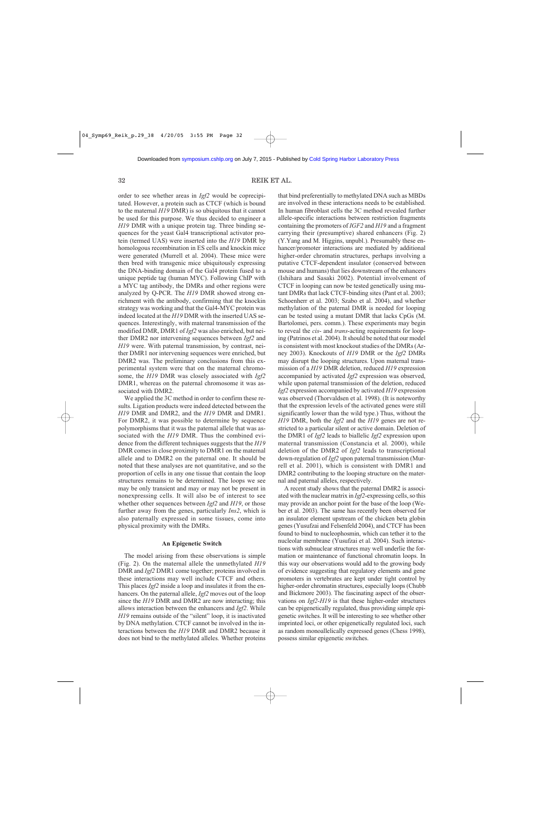# 32 REIK ET AL.

order to see whether areas in *Igf2* would be coprecipitated. However, a protein such as CTCF (which is bound to the maternal *H19* DMR) is so ubiquitous that it cannot be used for this purpose. We thus decided to engineer a *H19* DMR with a unique protein tag. Three binding sequences for the yeast Gal4 transcriptional activator protein (termed UAS) were inserted into the *H19* DMR by homologous recombination in ES cells and knockin mice were generated (Murrell et al. 2004). These mice were then bred with transgenic mice ubiquitously expressing the DNA-binding domain of the Gal4 protein fused to a unique peptide tag (human MYC). Following ChIP with a MYC tag antibody, the DMRs and other regions were analyzed by Q-PCR. The *H19* DMR showed strong enrichment with the antibody, confirming that the knockin strategy was working and that the Gal4-MYC protein was indeed located at the *H19* DMR with the inserted UAS sequences. Interestingly, with maternal transmission of the modified DMR, DMR1 of *Igf2* was also enriched, but neither DMR2 nor intervening sequences between *Igf2* and *H19* were. With paternal transmission, by contrast, neither DMR1 nor intervening sequences were enriched, but DMR2 was. The preliminary conclusions from this experimental system were that on the maternal chromosome, the *H19* DMR was closely associated with *Igf2* DMR1, whereas on the paternal chromosome it was associated with DMR2.

We applied the 3C method in order to confirm these results. Ligation products were indeed detected between the *H19* DMR and DMR2, and the *H19* DMR and DMR1. For DMR2, it was possible to determine by sequence polymorphisms that it was the paternal allele that was associated with the *H19* DMR. Thus the combined evidence from the different techniques suggests that the *H19* DMR comes in close proximity to DMR1 on the maternal allele and to DMR2 on the paternal one. It should be noted that these analyses are not quantitative, and so the proportion of cells in any one tissue that contain the loop structures remains to be determined. The loops we see may be only transient and may or may not be present in nonexpressing cells. It will also be of interest to see whether other sequences between *Igf2* and *H19*, or those further away from the genes, particularly *Ins2*, which is also paternally expressed in some tissues, come into physical proximity with the DMRs.

#### **An Epigenetic Switch**

The model arising from these observations is simple (Fig. 2). On the maternal allele the unmethylated *H19* DMR and *Igf2* DMR1 come together; proteins involved in these interactions may well include CTCF and others. This places *Igf2* inside a loop and insulates it from the enhancers. On the paternal allele, *Igf2* moves out of the loop since the *H19* DMR and DMR2 are now interacting; this allows interaction between the enhancers and *Igf2*. While *H19* remains outside of the "silent" loop, it is inactivated by DNA methylation. CTCF cannot be involved in the interactions between the *H19* DMR and DMR2 because it does not bind to the methylated alleles. Whether proteins

that bind preferentially to methylated DNA such as MBDs are involved in these interactions needs to be established. In human fibroblast cells the 3C method revealed further allele-specific interactions between restriction fragments containing the promoters of *IGF2* and *H19* and a fragment carrying their (presumptive) shared enhancers (Fig. 2) (Y.Yang and M. Higgins, unpubl.). Presumably these enhancer/promoter interactions are mediated by additional higher-order chromatin structures, perhaps involving a putative CTCF-dependent insulator (conserved between mouse and humans) that lies downstream of the enhancers (Ishihara and Sasaki 2002). Potential involvement of CTCF in looping can now be tested genetically using mutant DMRs that lack CTCF-binding sites (Pant et al. 2003; Schoenherr et al. 2003; Szabo et al. 2004), and whether methylation of the paternal DMR is needed for looping can be tested using a mutant DMR that lacks CpGs (M. Bartolomei, pers. comm.). These experiments may begin to reveal the *cis*- and *trans*-acting requirements for looping (Patrinos et al. 2004). It should be noted that our model is consistent with most knockout studies of the DMRs (Arney 2003). Knockouts of *H19* DMR or the *Igf2* DMRs may disrupt the looping structures. Upon maternal transmission of a *H19* DMR deletion, reduced *H19* expression accompanied by activated *Igf2* expression was observed, while upon paternal transmission of the deletion, reduced *Igf2* expression accompanied by activated *H19* expression was observed (Thorvaldsen et al. 1998). (It is noteworthy that the expression levels of the activated genes were still significantly lower than the wild type.) Thus, without the *H19* DMR, both the *Igf2* and the *H19* genes are not restricted to a particular silent or active domain. Deletion of the DMR1 of *Igf2* leads to biallelic *Igf2* expression upon maternal transmission (Constancia et al. 2000), while deletion of the DMR2 of *Igf2* leads to transcriptional down-regulation of *Igf2* upon paternal transmission (Murrell et al. 2001), which is consistent with DMR1 and DMR2 contributing to the looping structure on the maternal and paternal alleles, respectively.

A recent study shows that the paternal DMR2 is associated with the nuclear matrix in *Igf2*-expressing cells, so this may provide an anchor point for the base of the loop (Weber et al. 2003). The same has recently been observed for an insulator element upstream of the chicken beta globin genes (Yusufzai and Felsenfeld 2004), and CTCF has been found to bind to nucleophosmin, which can tether it to the nucleolar membrane (Yusufzai et al. 2004). Such interactions with subnuclear structures may well underlie the formation or maintenance of functional chromatin loops. In this way our observations would add to the growing body of evidence suggesting that regulatory elements and gene promoters in vertebrates are kept under tight control by higher-order chromatin structures, especially loops (Chubb and Bickmore 2003). The fascinating aspect of the observations on *Igf2-H19* is that these higher-order structures can be epigenetically regulated, thus providing simple epigenetic switches. It will be interesting to see whether other imprinted loci, or other epigenetically regulated loci, such as random monoallelically expressed genes (Chess 1998), possess similar epigenetic switches.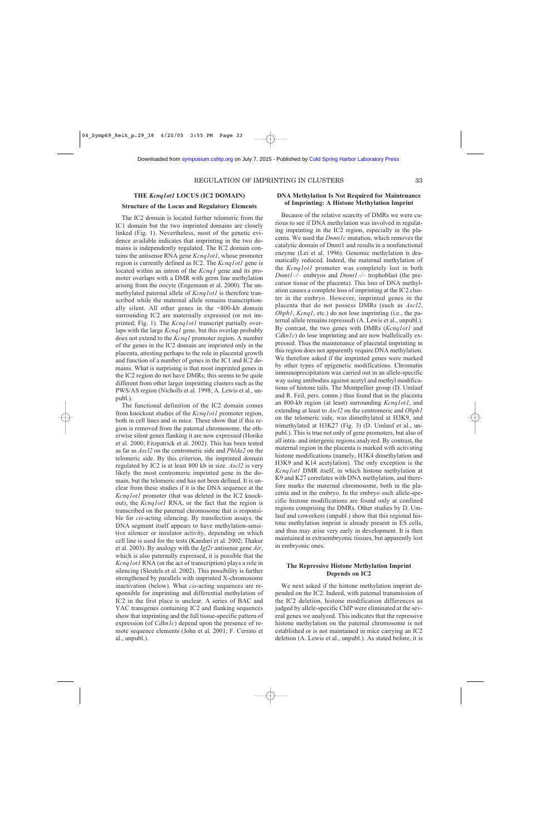# **THE** *Kcnq1ot1* **LOCUS (IC2 DOMAIN)**

### **Structure of the Locus and Regulatory Elements**

The IC2 domain is located further telomeric from the IC1 domain but the two imprinted domains are closely linked (Fig. 1). Nevertheless, most of the genetic evidence available indicates that imprinting in the two domains is independently regulated. The IC2 domain contains the antisense RNA gene *Kcnq1ot1*, whose promoter region is currently defined as IC2. The *Kcnq1ot1* gene is located within an intron of the *Kcnq1* gene and its promoter overlaps with a DMR with germ line methylation arising from the oocyte (Engemann et al. 2000). The unmethylated paternal allele of *Kcnq1ot1* is therefore transcribed while the maternal allele remains transcriptionally silent. All other genes in the ~800-kb domain surrounding IC2 are maternally expressed (or not imprinted; Fig. 1). The *Kcnq1ot1* transcript partially overlaps with the large *Kcnq1* gene, but this overlap probably does not extend to the *Kcnq1* promoter region. A number of the genes in the IC2 domain are imprinted only in the placenta, attesting perhaps to the role in placental growth and function of a number of genes in the IC1 and IC2 domains. What is surprising is that most imprinted genes in the IC2 region do not have DMRs; this seems to be quite different from other larger imprinting clusters such as the PWS/AS region (Nicholls et al. 1998; A. Lewis et al., unpubl.).

The functional definition of the IC2 domain comes from knockout studies of the *Kcnq1ot1* promoter region, both in cell lines and in mice. These show that if this region is removed from the paternal chromosome, the otherwise silent genes flanking it are now expressed (Horike et al. 2000; Fitzpatrick et al. 2002). This has been tested as far as *Ascl2* on the centromeric side and *Phlda2* on the telomeric side. By this criterion, the imprinted domain regulated by IC2 is at least 800 kb in size. *Ascl2* is very likely the most centromeric imprinted gene in the domain, but the telomeric end has not been defined. It is unclear from these studies if it is the DNA sequence at the *Kcnq1ot1* promoter (that was deleted in the IC2 knockout), the *Kcnq1ot1* RNA, or the fact that the region is transcribed on the paternal chromosome that is responsible for *cis*-acting silencing. By transfection assays, the DNA segment itself appears to have methylation-sensitive silencer or insulator activity, depending on which cell line is used for the tests (Kanduri et al. 2002; Thakur et al. 2003). By analogy with the *Igf2r* antisense gene *Air*, which is also paternally expressed, it is possible that the *Kcnq1ot1* RNA (or the act of transcription) plays a role in silencing (Sleutels et al. 2002). This possibility is further strengthened by parallels with imprinted X-chromosome inactivation (below). What *cis*-acting sequences are responsible for imprinting and differential methylation of IC2 in the first place is unclear. A series of BAC and YAC transgenes containing IC2 and flanking sequences show that imprinting and the full tissue-specific pattern of expression (of *Cdkn1c*) depend upon the presence of remote sequence elements (John et al. 2001; F. Cerrato et al., unpubl.).

# **DNA Methylation Is Not Required for Maintenance of Imprinting: A Histone Methylation Imprint**

Because of the relative scarcity of DMRs we were curious to see if DNA methylation was involved in regulating imprinting in the IC2 region, especially in the placenta. We used the *Dnmt1c* mutation, which removes the catalytic domain of Dnmt1 and results in a nonfunctional enzyme (Lei et al. 1996). Genomic methylation is dramatically reduced. Indeed, the maternal methylation of the *Kcnq1ot1* promoter was completely lost in both *Dnmt1–/–* embryos and *Dnmt1–/–* trophoblast (the precursor tissue of the placenta). This loss of DNA methylation causes a complete loss of imprinting at the IC2 cluster in the embryo. However, imprinted genes in the placenta that do not possess DMRs (such as *Ascl2*, *Obph1*, *Kcnq1*, etc.) do not lose imprinting (i.e., the paternal allele remains repressed) (A. Lewis et al., unpubl.). By contrast, the two genes with DMRs (*Kcnq1ot1* and *Cdkn1c*) do lose imprinting and are now biallelically expressed. Thus the maintenance of placental imprinting in this region does not apparently require DNA methylation. We therefore asked if the imprinted genes were marked by other types of epigenetic modifications. Chromatin immunoprecipitation was carried out in an allele-specific way using antibodies against acetyl and methyl modifications of histone tails. The Montpellier group (D. Umlauf and R. Feil, pers. comm.) thus found that in the placenta an 800-kb region (at least) surrounding *Kcnq1ot1*, and extending at least to *Ascl2* on the centromeric and *Obph1* on the telomeric side, was dimethylated at H3K9, and trimethylated at H3K27 (Fig. 3) (D. Umlauf et al., unpubl.). This is true not only of gene promoters, but also of all intra- and intergenic regions analyzed. By contrast, the maternal region in the placenta is marked with activating histone modifications (namely, H3K4 dimethylation and H3K9 and K14 acetylation). The only exception is the *Kcnq1ot1* DMR itself, in which histone methylation at K9 and K27 correlates with DNA methylation, and therefore marks the maternal chromosome, both in the placenta and in the embryo. In the embryo such allele-specific histone modifications are found only at confined regions comprising the DMRs. Other studies by D. Umlauf and coworkers (unpubl.) show that this regional histone methylation imprint is already present in ES cells, and thus may arise very early in development. It is then maintained in extraembryonic tissues, but apparently lost in embryonic ones.

# **The Repressive Histone Methylation Imprint Depends on IC2**

We next asked if the histone methylation imprint depended on the IC2. Indeed, with paternal transmission of the IC2 deletion, histone modification differences as judged by allele-specific ChIP were eliminated at the several genes we analyzed. This indicates that the repressive histone methylation on the paternal chromosome is not established or is not maintained in mice carrying an IC2 deletion (A. Lewis et al., unpubl.). As stated before, it is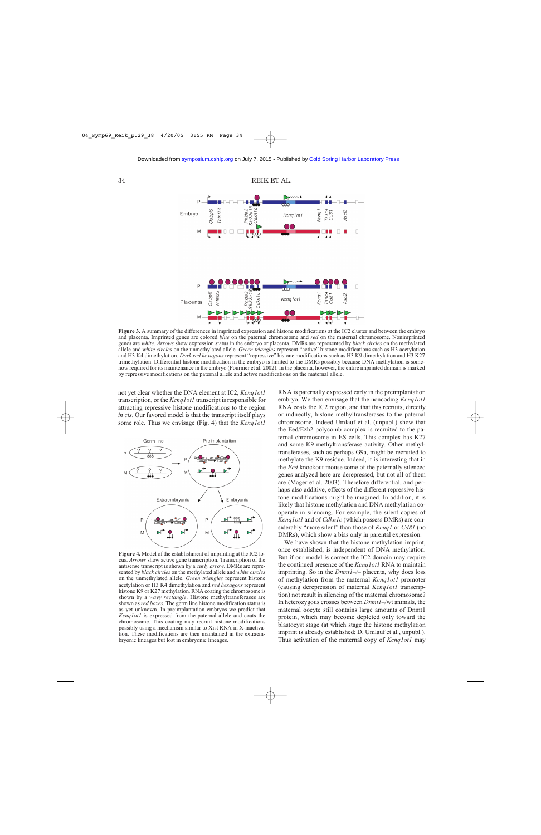

**Figure 3.** A summary of the differences in imprinted expression and histone modifications at the IC2 cluster and between the embryo and placenta. Imprinted genes are colored *blue* on the paternal chromosome and *red* on the maternal chromosome. Nonimprinted genes are *white*. *Arrows* show expression status in the embryo or placenta. DMRs are represented by *black circles* on the methylated allele and *white circles* on the unmethylated allele. *Green triangles* represent "active" histone modifications such as H3 acetylation and H3 K4 dimethylation. *Dark red hexagons* represent "repressive" histone modifications such as H3 K9 dimethylation and H3 K27 trimethylation. Differential histone modification in the embryo is limited to the DMRs possibly because DNA methylation is somehow required for its maintenance in the embryo (Fournier et al. 2002). In the placenta, however, the entire imprinted domain is marked by repressive modifications on the paternal allele and active modifications on the maternal allele.

not yet clear whether the DNA element at IC2, *Kcnq1ot1* transcription, or the *Kcnq1ot1* transcript is responsible for attracting repressive histone modifications to the region *in cis*. Our favored model is that the transcript itself plays some role. Thus we envisage (Fig. 4) that the *Kcnq1ot1*



**Figure 4.** Model of the establishment of imprinting at the IC2 locus. *Arrows* show active gene transcription. Transcription of the antisense transcript is shown by a *curly arrow*. DMRs are represented by *black circles* on the methylated allele and *white circles* on the unmethylated allele. *Green triangles* represent histone acetylation or H3 K4 dimethylation and *red hexagons* represent histone K9 or K27 methylation. RNA coating the chromosome is shown by a *wavy rectangle*. Histone methyltransferases are shown as *red boxes*. The germ line histone modification status is as yet unknown. In preimplantation embryos we predict that *Kcnq1ot1* is expressed from the paternal allele and coats the chromosome. This coating may recruit histone modifications possibly using a mechanism similar to Xist RNA in X-inactivation. These modifications are then maintained in the extraembryonic lineages but lost in embryonic lineages.

RNA is paternally expressed early in the preimplantation embryo. We then envisage that the noncoding *Kcnq1ot1* RNA coats the IC2 region, and that this recruits, directly or indirectly, histone methyltransferases to the paternal chromosome. Indeed Umlauf et al. (unpubl.) show that the Eed/Ezh2 polycomb complex is recruited to the paternal chromosome in ES cells. This complex has K27 and some K9 methyltransferase activity. Other methyltransferases, such as perhaps G9a, might be recruited to methylate the K9 residue. Indeed, it is interesting that in the *Eed* knockout mouse some of the paternally silenced genes analyzed here are derepressed, but not all of them are (Mager et al. 2003). Therefore differential, and perhaps also additive, effects of the different repressive histone modifications might be imagined. In addition, it is likely that histone methylation and DNA methylation cooperate in silencing. For example, the silent copies of *Kcnq1ot1* and of *Cdkn1c* (which possess DMRs) are considerably "more silent" than those of *Kcnq1* or *Cd81* (no DMRs), which show a bias only in parental expression.

We have shown that the histone methylation imprint, once established, is independent of DNA methylation. But if our model is correct the IC2 domain may require the continued presence of the *Kcnq1ot1* RNA to maintain imprinting. So in the *Dnmt1–/–* placenta, why does loss of methylation from the maternal *Kcnq1ot1* promoter (causing derepression of maternal *Kcnq1ot1* transcription) not result in silencing of the maternal chromosome? In heterozygous crosses between *Dnmt1–*/wt animals, the maternal oocyte still contains large amounts of Dnmt1 protein, which may become depleted only toward the blastocyst stage (at which stage the histone methylation imprint is already established; D. Umlauf et al., unpubl.). Thus activation of the maternal copy of *Kcnq1ot1* may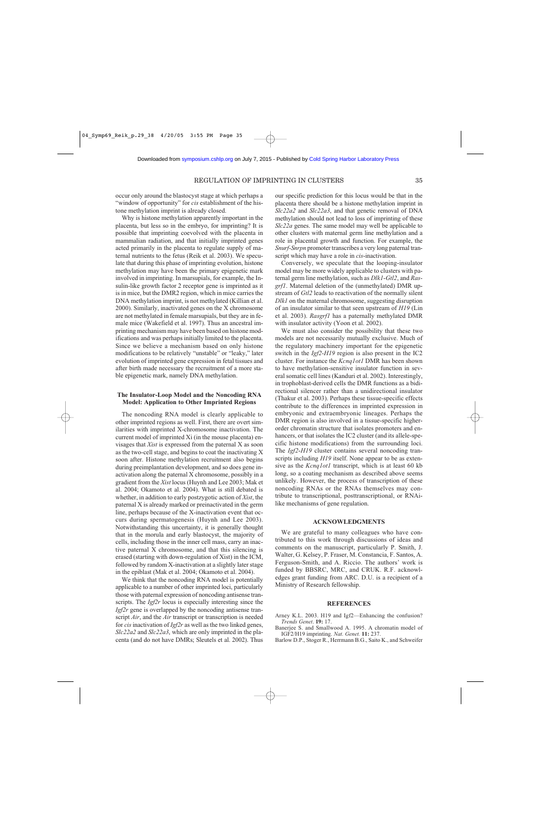# REGULATION OF IMPRINTING IN CLUSTERS  $35$

occur only around the blastocyst stage at which perhaps a "window of opportunity" for *cis* establishment of the histone methylation imprint is already closed.

Why is histone methylation apparently important in the placenta, but less so in the embryo, for imprinting? It is possible that imprinting coevolved with the placenta in mammalian radiation, and that initially imprinted genes acted primarily in the placenta to regulate supply of maternal nutrients to the fetus (Reik et al. 2003). We speculate that during this phase of imprinting evolution, histone methylation may have been the primary epigenetic mark involved in imprinting. In marsupials, for example, the Insulin-like growth factor 2 receptor gene is imprinted as it is in mice, but the DMR2 region, which in mice carries the DNA methylation imprint, is not methylated (Killian et al. 2000). Similarly, inactivated genes on the X chromosome are not methylated in female marsupials, but they are in female mice (Wakefield et al. 1997). Thus an ancestral imprinting mechanism may have been based on histone modifications and was perhaps initially limited to the placenta. Since we believe a mechanism based on only histone modifications to be relatively "unstable" or "leaky," later evolution of imprinted gene expression in fetal tissues and after birth made necessary the recruitment of a more stable epigenetic mark, namely DNA methylation.

# **The Insulator-Loop Model and the Noncoding RNA Model: Application to Other Imprinted Regions**

The noncoding RNA model is clearly applicable to other imprinted regions as well. First, there are overt similarities with imprinted X-chromosome inactivation. The current model of imprinted Xi (in the mouse placenta) envisages that *Xist* is expressed from the paternal X as soon as the two-cell stage, and begins to coat the inactivating X soon after. Histone methylation recruitment also begins during preimplantation development, and so does gene inactivation along the paternal X chromosome, possibly in a gradient from the *Xist* locus (Huynh and Lee 2003; Mak et al. 2004; Okamoto et al. 2004). What is still debated is whether, in addition to early postzygotic action of *Xist*, the paternal X is already marked or preinactivated in the germ line, perhaps because of the X-inactivation event that occurs during spermatogenesis (Huynh and Lee 2003). Notwithstanding this uncertainty, it is generally thought that in the morula and early blastocyst, the majority of cells, including those in the inner cell mass, carry an inactive paternal X chromosome, and that this silencing is erased (starting with down-regulation of Xist) in the ICM, followed by random X-inactivation at a slightly later stage in the epiblast (Mak et al. 2004; Okamoto et al. 2004).

We think that the noncoding RNA model is potentially applicable to a number of other imprinted loci, particularly those with paternal expression of noncoding antisense transcripts. The *Igf2r* locus is especially interesting since the *Igf2r* gene is overlapped by the noncoding antisense transcript *Air*, and the *Air* transcript or transcription is needed for *cis* inactivation of *Igf2r* as well as the two linked genes, *Slc22a2* and *Slc22a3*, which are only imprinted in the placenta (and do not have DMRs; Sleutels et al. 2002). Thus our specific prediction for this locus would be that in the placenta there should be a histone methylation imprint in *Slc22a2* and *Slc22a3*, and that genetic removal of DNA methylation should not lead to loss of imprinting of these *Slc22a* genes. The same model may well be applicable to other clusters with maternal germ line methylation and a role in placental growth and function. For example, the *Snurf-Snrpn* promoter transcribes a very long paternal transcript which may have a role in *cis*-inactivation.

Conversely, we speculate that the looping-insulator model may be more widely applicable to clusters with paternal germ line methylation, such as *Dlk1*-*Gtl2*, and *Rasgrf1*. Maternal deletion of the (unmethylated) DMR upstream of *Gtl2* leads to reactivation of the normally silent *Dlk1* on the maternal chromosome, suggesting disruption of an insulator similar to that seen upstream of *H19* (Lin et al. 2003). *Rasgrf1* has a paternally methylated DMR with insulator activity (Yoon et al. 2002).

We must also consider the possibility that these two models are not necessarily mutually exclusive. Much of the regulatory machinery important for the epigenetic switch in the *Igf2-H19* region is also present in the IC2 cluster. For instance the *Kcnq1ot1* DMR has been shown to have methylation-sensitive insulator function in several somatic cell lines (Kanduri et al. 2002). Interestingly, in trophoblast-derived cells the DMR functions as a bidirectional silencer rather than a unidirectional insulator (Thakur et al. 2003). Perhaps these tissue-specific effects contribute to the differences in imprinted expression in embryonic and extraembryonic lineages. Perhaps the DMR region is also involved in a tissue-specific higherorder chromatin structure that isolates promoters and enhancers, or that isolates the IC2 cluster (and its allele-specific histone modifications) from the surrounding loci. The *Igf2*-*H19* cluster contains several noncoding transcripts including *H19* itself. None appear to be as extensive as the *Kcnq1ot1* transcript, which is at least 60 kb long, so a coating mechanism as described above seems unlikely. However, the process of transcription of these noncoding RNAs or the RNAs themselves may contribute to transcriptional, posttranscriptional, or RNAilike mechanisms of gene regulation.

# **ACKNOWLEDGMENTS**

We are grateful to many colleagues who have contributed to this work through discussions of ideas and comments on the manuscript, particularly P. Smith, J. Walter, G. Kelsey, P. Fraser, M. Constancia, F. Santos, A. Ferguson-Smith, and A. Riccio. The authors' work is funded by BBSRC, MRC, and CRUK. R.F. acknowledges grant funding from ARC. D.U. is a recipient of a Ministry of Research fellowship.

#### **REFERENCES**

Arney K.L. 2003. H19 and Igf2—Enhancing the confusion? *Trends Genet*. **19:** 17.

- Banerjee S. and Smallwood A. 1995. A chromatin model of IGF2/H19 imprinting. *Nat. Genet.* **11:** 237.
- Barlow D.P., Stoger R., Herrmann B.G., Saito K., and Schweifer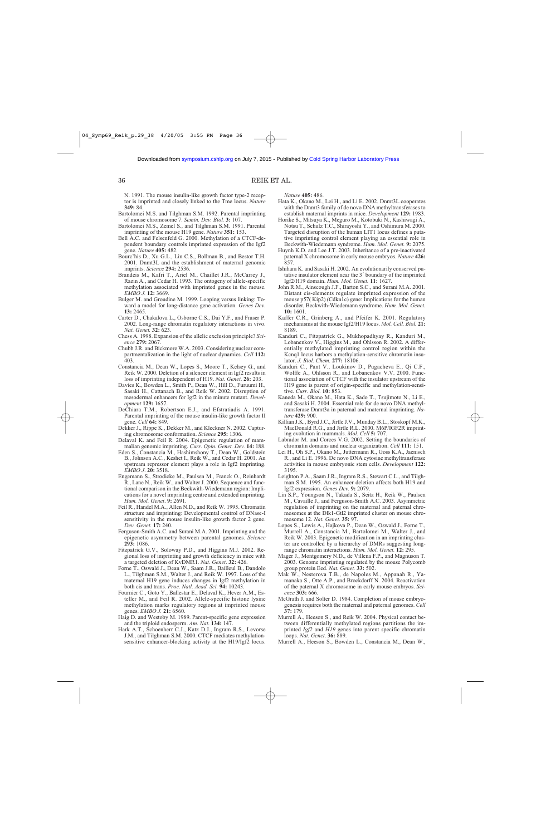# 36 REIK ET AL.

N. 1991. The mouse insulin-like growth factor type-2 receptor is imprinted and closely linked to the Tme locus. *Nature* **349:** 84.

- Bartolomei M.S. and Tilghman S.M. 1992. Parental imprinting of mouse chromosome 7. *Semin. Dev. Biol.* **3:** 107.
- Bartolomei M.S., Zemel S., and Tilghman S.M. 1991. Parental imprinting of the mouse H19 gene. *Nature* **351:** 153.
- Bell A.C. and Felsenfeld G. 2000. Methylation of a CTCF-dependent boundary controls imprinted expression of the Igf2 gene. *Nature* **405:** 482.
- Bourc'his D., Xu G.L., Lin C.S., Bollman B., and Bestor T.H. 2001. Dnmt3L and the establishment of maternal genomic imprints. *Science* **294:** 2536.
- Brandeis M., Kafri T., Ariel M., Chaillet J.R., McCarrey J., Razin A., and Cedar H. 1993. The ontogeny of allele-specific methylation associated with imprinted genes in the mouse. *EMBO J.* **12:** 3669.
- Bulger M. and Groudine M. 1999. Looping versus linking: Toward a model for long-distance gene activation. *Genes Dev*. **13:** 2465.
- Carter D., Chakalova L., Osborne C.S., Dai Y.F., and Fraser P. 2002. Long-range chromatin regulatory interactions in vivo. *Nat. Genet.* **32:** 623.
- Chess A. 1998. Expansion of the allelic exclusion principle? *Science* **279:** 2067.
- Chubb J.R. and Bickmore W.A. 2003. Considering nuclear compartmentalization in the light of nuclear dynamics. *Cell* **112:** 403.
- Constancia M., Dean W., Lopes S., Moore T., Kelsey G., and Reik W. 2000. Deletion of a silencer element in Igf2 results in loss of imprinting independent of H19. *Nat. Genet*. **26:** 203.
- Davies K., Bowden L., Smith P., Dean W., Hill D., Furuumi H., Sasaki H., Cattanach B., and Reik W. 2002. Disruption of mesodermal enhancers for Igf2 in the minute mutant. *Development* **129:** 1657.
- DeChiara T.M., Robertson E.J., and Efstratiadis A. 1991. Parental imprinting of the mouse insulin-like growth factor II gene. *Cell* **64:** 849.
- Dekker J., Rippe K., Dekker M., and Kleckner N. 2002. Capturing chromosome conformation. *Science* **295:** 1306.
- Delaval K. and Feil R. 2004. Epigenetic regulation of mammalian genomic imprinting. *Curr. Opin. Genet. Dev.* **14:** 188.
- Eden S., Constancia M., Hashimshony T., Dean W., Goldstein B., Johnson A.C., Keshet I., Reik W., and Cedar H. 2001. An upstream repressor element plays a role in Igf2 imprinting. *EMBO J*. **20:** 3518.
- Engemann S., Strodicke M., Paulsen M., Franck O., Reinhardt R., Lane N., Reik W., and Walter J. 2000. Sequence and functional comparison in the Beckwith-Wiedemann region: Implications for a novel imprinting centre and extended imprinting. *Hum. Mol. Genet*. **9:** 2691.
- Feil R., Handel M.A., Allen N.D., and Reik W. 1995. Chromatin structure and imprinting: Developmental control of DNase-I sensitivity in the mouse insulin-like growth factor 2 gene. *Dev. Genet.* **17:** 240.
- Ferguson-Smith A.C. and Surani M.A. 2001. Imprinting and the epigenetic asymmetry between parental genomes. *Science* **293:** 1086.
- Fitzpatrick G.V., Soloway P.D., and Higgins M.J. 2002. Regional loss of imprinting and growth deficiency in mice with a targeted deletion of KvDMR1. *Nat. Genet*. **32:** 426.
- Forne T., Oswald J., Dean W., Saam J.R., Bailleul B., Dandolo L., Tilghman S.M., Walter J., and Reik W. 1997. Loss of the maternal H19 gene induces changes in Igf2 methylation in both cis and trans. *Proc. Natl. Acad. Sci.* **94:** 10243.
- Fournier C., Goto Y., Ballestar E., Delaval K., Hever A.M., Esteller M., and Feil R. 2002. Allele-specific histone lysine methylation marks regulatory regions at imprinted mouse genes. *EMBO J.* **21:** 6560.
- Haig D. and Westoby M. 1989. Parent-specific gene expression and the triploid endosperm. *Am. Nat*. **134:** 147.
- Hark A.T., Schoenherr C.J., Katz D.J., Ingram R.S., Levorse J.M., and Tilghman S.M. 2000. CTCF mediates methylationsensitive enhancer-blocking activity at the H19/Igf2 locus.

*Nature* **405:** 486.

- Hata K., Okano M., Lei H., and Li E. 2002. Dnmt3L cooperates with the Dnmt3 family of de novo DNA methyltransferases to establish maternal imprints in mice. *Development* **129:** 1983.
- Horike S., Mitsuya K., Meguro M., Kotobuki N., Kashiwagi A., Notsu T., Schulz T.C., Shirayoshi Y., and Oshimura M. 2000. Targeted disruption of the human LIT1 locus defines a putative imprinting control element playing an essential role in Beckwith-Wiedemann syndrome. *Hum. Mol. Genet.* **9:** 2075.
- Huynh K.D. and Lee J.T. 2003. Inheritance of a pre-inactivated paternal X chromosome in early mouse embryos. *Nature* **426:** 857.
- Ishihara K. and Sasaki H. 2002. An evolutionarily conserved putative insulator element near the 3´ boundary of the imprinted Igf2/H19 domain. *Hum. Mol. Genet.* **11:** 1627.
- John R.M., Ainscough J.F., Barton S.C., and Surani M.A. 2001. Distant cis-elements regulate imprinted expression of the mouse p57(Kip2) (Cdkn1c) gene: Implications for the human disorder, Beckwith-Wiedemann syndrome. *Hum. Mol. Genet.* **10:** 1601.
- Kaffer C.R., Grinberg A., and Pfeifer K. 2001. Regulatory mechanisms at the mouse Igf2/H19 locus. *Mol. Cell. Biol.* **21:** 8189.
- Kanduri C., Fitzpatrick G., Mukhopadhyay R., Kanduri M., Lobanenkov V., Higgins M., and Ohlsson R. 2002. A differentially methylated imprinting control region within the Kcnq1 locus harbors a methylation-sensitive chromatin insulator. *J. Biol. Chem.* **277:** 18106.
- Kanduri C., Pant V., Loukinov D., Pugacheva E., Qi C.F., Wolffe A., Ohlsson R., and Lobanenkov V.V. 2000. Functional association of CTCF with the insulator upstream of the H19 gene is parent of origin-specific and methylation-sensitive. *Curr. Biol.* **10:** 853.
- Kaneda M., Okano M., Hata K., Sado T., Tsujimoto N., Li E., and Sasaki H. 2004. Essential role for de novo DNA methyltransferase Dnmt3a in paternal and maternal imprinting. *Nature* **429:** 900.
- Killian J.K., Byrd J.C., Jirtle J.V., Munday B.L., Stoskopf M.K., MacDonald R.G., and Jirtle R.L. 2000. M6P/IGF2R imprinting evolution in mammals. *Mol. Cell* **5:** 707.
- Labrador M. and Corces V.G. 2002. Setting the boundaries of chromatin domains and nuclear organization. *Cell* **111:** 151.
- Lei H., Oh S.P., Okano M., Juttermann R., Goss K.A., Jaenisch R., and Li E. 1996. De novo DNA cytosine methyltransferase activities in mouse embryonic stem cells. *Development* **122:** 3195.
- Leighton P.A., Saam J.R., Ingram R.S., Stewart C.L., and Tilghman S.M. 1995. An enhancer deletion affects both H19 and Igf2 expression. *Genes Dev.* **9:** 2079.
- Lin S.P., Youngson N., Takada S., Seitz H., Reik W., Paulsen M., Cavaille J., and Ferguson-Smith A.C. 2003. Asymmetric regulation of imprinting on the maternal and paternal chromosomes at the Dlk1-Gtl2 imprinted cluster on mouse chromosome 12. *Nat. Genet.* **35:** 97.
- Lopes S., Lewis A., Hajkova P., Dean W., Oswald J., Forne T., Murrell A., Constancia M., Bartolomei M., Walter J., and Reik W. 2003. Epigenetic modification in an imprinting cluster are controlled by a hierarchy of DMRs suggesting longrange chromatin interactions. *Hum. Mol. Genet.* **12:** 295.
- Mager J., Montgomery N.D., de Villena F.P., and Magnuson T. 2003. Genome imprinting regulated by the mouse Polycomb group protein Eed. *Nat. Genet.* **33:** 502.
- Mak W., Nesterova T.B., de Napoles M., Appanah R., Yamanaka S., Otte A.P., and Brockdorff N. 2004. Reactivation of the paternal X chromosome in early mouse embryos. *Science* **303:** 666.
- McGrath J. and Solter D. 1984. Completion of mouse embryogenesis requires both the maternal and paternal genomes. *Cell* **37:** 179.
- Murrell A., Heeson S., and Reik W. 2004. Physical contact between differentially methylated regions partitions the imprinted *Igf2* and *H19* genes into parent specific chromatin loops. *Nat. Genet*. **36:** 889.
- Murrell A., Heeson S., Bowden L., Constancia M., Dean W.,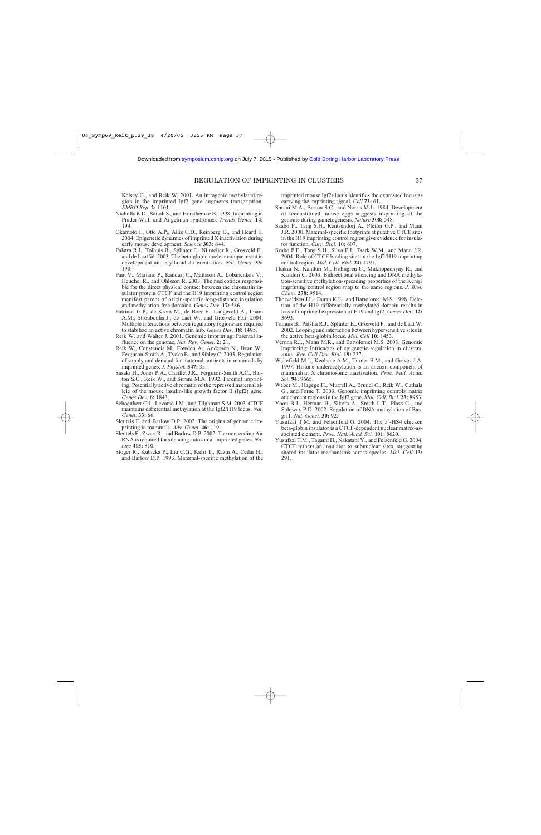### REGULATION OF IMPRINTING IN CLUSTERS  $37$

Kelsey G., and Reik W. 2001. An intragenic methylated region in the imprinted Igf2 gene augments transcription. *EMBO Rep*. **2:** 1101.

- Nicholls R.D., Saitoh S., and Horsthemke B. 1998. Imprinting in Prader-Willi and Angelman syndromes. *Trends Genet.* **14:** 194.
- Okamoto I., Otte A.P., Allis C.D., Reinberg D., and Heard E. 2004. Epigenetic dynamics of imprinted X inactivation during early mouse development. *Science* **303:** 644.
- Palstra R.J., Tolhuis B., Splinter E., Nijmeijer R., Grosveld F., and de Laat W. 2003. The beta-globin nuclear compartment in development and erythroid differentiation. *Nat. Genet.* **35:** 190.
- Pant V., Mariano P., Kanduri C., Mattsson A., Lobanenkov V., Heuchel R., and Ohlsson R. 2003. The nucleotides responsible for the direct physical contact between the chromatin insulator protein CTCF and the H19 imprinting control region manifest parent of origin-specific long-distance insulation and methylation-free domains. *Genes Dev.* **17:** 586.
- Patrinos G.P., de Krom M., de Boer E., Langeveld A., Imam A.M., Strouboulis J., de Laat W., and Grosveld F.G. 2004. Multiple interactions between regulatory regions are required to stabilize an active chromatin hub. *Genes Dev.* **18:** 1495.
- Reik W. and Walter J. 2001. Genomic imprinting: Parental influence on the genome. *Nat. Rev. Genet.* **2:** 21.
- Reik W., Constancia M., Fowden A., Anderson N., Dean W., Ferguson-Smith A., Tycko B., and Sibley C. 2003. Regulation of supply and demand for maternal nutrients in mammals by imprinted genes. *J. Physiol.* **547:** 35.
- Sasaki H., Jones P.A., Chaillet J.R., Ferguson-Smith A.C., Barton S.C., Reik W., and Surani M.A. 1992. Parental imprinting: Potentially active chromatin of the repressed maternal allele of the mouse insulin-like growth factor II (Igf2) gene. *Genes Dev.* **6:** 1843.
- Schoenherr C.J., Levorse J.M., and Tilghman S.M. 2003. CTCF maintains differential methylation at the Igf2/H19 locus. *Nat. Genet.* **33:** 66.
- Sleutels F. and Barlow D.P. 2002. The origins of genomic imprinting in mammals. *Adv. Genet*. **46:** 119.
- Sleutels F., Zwart R., and Barlow D.P. 2002. The non-coding Air RNA is required for silencing autosomal imprinted genes. *Nature* **415:** 810.
- Stoger R., Kubicka P., Liu C.G., Kafri T., Razin A., Cedar H., and Barlow D.P. 1993. Maternal-specific methylation of the

imprinted mouse Igf2r locus identifies the expressed locus as carrying the imprinting signal. *Cell* **73:** 61.

- Surani M.A., Barton S.C., and Norris M.L. 1984. Development of reconstituted mouse eggs suggests imprinting of the genome during gametogenesis. *Nature* **308:** 548.
- Szabo P., Tang S.H., Rentsendorj A., Pfeifer G.P., and Mann J.R. 2000. Maternal-specific footprints at putative CTCF sites in the H19 imprinting control region give evidence for insulator function. *Curr. Biol.* **10:** 607.
- Szabo P.E., Tang S.H., Silva F.J., Tsark W.M., and Mann J.R. 2004. Role of CTCF binding sites in the Igf2/H19 imprinting control region. *Mol. Cell. Biol.* **24:** 4791.
- Thakur N., Kanduri M., Holmgren C., Mukhopadhyay R., and Kanduri C. 2003. Bidirectional silencing and DNA methylation-sensitive methylation-spreading properties of the Kcnq1 imprinting control region map to the same regions. *J. Biol. Chem.* **278:** 9514.
- Thorvaldsen J.L., Duran K.L., and Bartolomei M.S. 1998. Deletion of the H19 differentially methylated domain results in loss of imprinted expression of H19 and Igf2. *Genes Dev*. **12:** 3693.
- Tolhuis B., Palstra R.J., Splinter E., Grosveld F., and de Laat W. 2002. Looping and interaction between hypersensitive sites in the active beta-globin locus. *Mol. Cell* **10:** 1453.
- Verona R.I., Mann M.R., and Bartolomei M.S. 2003. Genomic imprinting: Intricacies of epigenetic regulation in clusters. *Annu. Rev. Cell Dev. Biol.* **19:** 237.
- Wakefield M.J., Keohane A.M., Turner B.M., and Graves J.A. 1997. Histone underacetylation is an ancient component of mammalian X chromosome inactivation. *Proc. Natl. Acad. Sci.* **94:** 9665.
- Weber M., Hagege H., Murrell A., Brunel C., Reik W., Cathala G., and Forne T. 2003. Genomic imprinting controls matrix attachment regions in the Igf2 gene. *Mol. Cell. Biol*. **23:** 8953.
- Yoon B.J., Herman H., Sikora A., Smith L.T., Plass C., and Soloway P.D. 2002. Regulation of DNA methylation of Rasgrf1. *Nat. Genet.* **30:** 92.
- Yusufzai T.M. and Felsenfeld G. 2004. The 5´-HS4 chicken beta-globin insulator is a CTCF-dependent nuclear matrix-associated element. *Proc. Natl. Acad. Sci.* **101:** 8620.
- Yusufzai T.M., Tagami H., Nakatani Y., and Felsenfeld G. 2004. CTCF tethers an insulator to subnuclear sites, suggesting shared insulator mechanisms across species. *Mol. Cell* **13:** 291.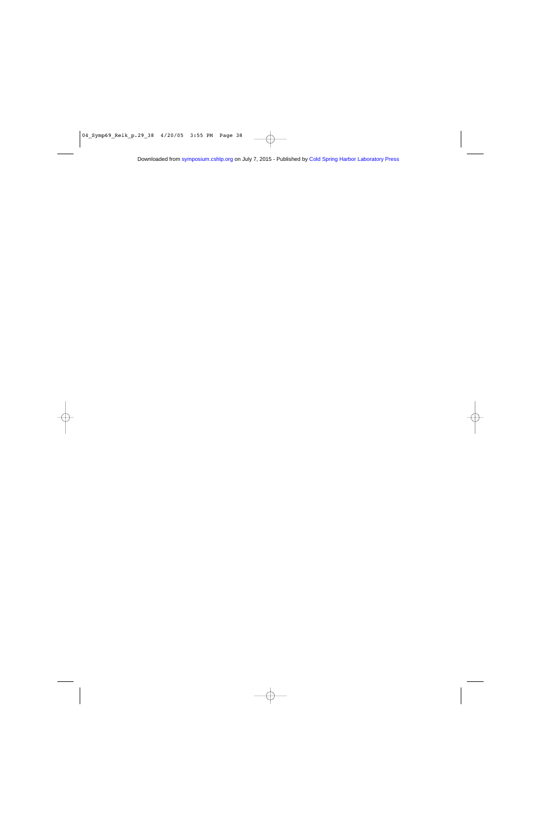Downloaded from [symposium.cshlp.org](http://symposium.cshlp.org/) on July 7, 2015 - Published by [Cold Spring Harbor Laboratory Press](http://www.cshlpress.com)